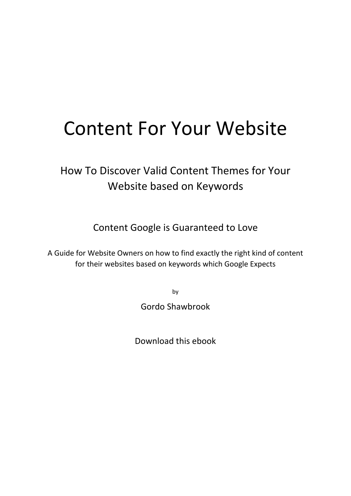# Content For Your Website

## How To Discover Valid Content Themes for Your Website based on Keywords

Content Google is Guaranteed to Love

A Guide for Website Owners on how to find exactly the right kind of content for their websites based on keywords which Google Expects

by

Gordo Shawbrook

Download this ebook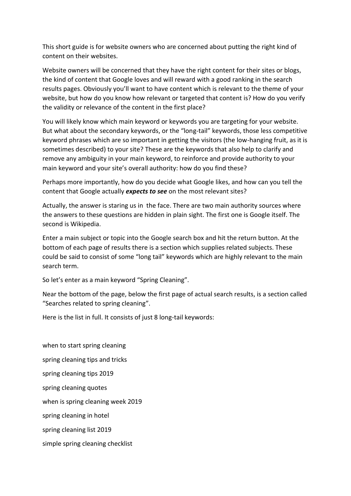This short guide is for website owners who are concerned about putting the right kind of content on their websites.

Website owners will be concerned that they have the right content for their sites or blogs, the kind of content that Google loves and will reward with a good ranking in the search results pages. Obviously you'll want to have content which is relevant to the theme of your website, but how do you know how relevant or targeted that content is? How do you verify the validity or relevance of the content in the first place?

You will likely know which main keyword or keywords you are targeting for your website. But what about the secondary keywords, or the "long-tail" keywords, those less competitive keyword phrases which are so important in getting the visitors (the low-hanging fruit, as it is sometimes described) to your site? These are the keywords that also help to clarify and remove any ambiguity in your main keyword, to reinforce and provide authority to your main keyword and your site's overall authority: how do you find these?

Perhaps more importantly, how do you decide what Google likes, and how can you tell the content that Google actually *expects to see* on the most relevant sites?

Actually, the answer is staring us in the face. There are two main authority sources where the answers to these questions are hidden in plain sight. The first one is Google itself. The second is Wikipedia.

Enter a main subject or topic into the Google search box and hit the return button. At the bottom of each page of results there is a section which supplies related subjects. These could be said to consist of some "long tail" keywords which are highly relevant to the main search term.

So let's enter as a main keyword "Spring Cleaning".

Near the bottom of the page, below the first page of actual search results, is a section called "Searches related to spring cleaning".

Here is the list in full. It consists of just 8 long-tail keywords:

when to start spring cleaning spring cleaning tips and tricks spring cleaning tips 2019 spring cleaning quotes when is spring cleaning week 2019 spring cleaning in hotel spring cleaning list 2019 simple spring cleaning checklist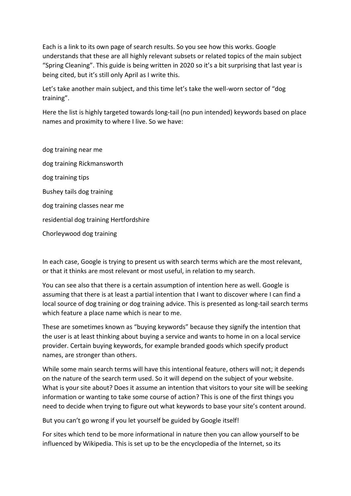Each is a link to its own page of search results. So you see how this works. Google understands that these are all highly relevant subsets or related topics of the main subject "Spring Cleaning". This guide is being written in 2020 so it's a bit surprising that last year is being cited, but it's still only April as I write this.

Let's take another main subject, and this time let's take the well-worn sector of "dog training".

Here the list is highly targeted towards long-tail (no pun intended) keywords based on place names and proximity to where I live. So we have:

dog training near me dog training Rickmansworth dog training tips Bushey tails dog training dog training classes near me residential dog training Hertfordshire Chorleywood dog training

In each case, Google is trying to present us with search terms which are the most relevant, or that it thinks are most relevant or most useful, in relation to my search.

You can see also that there is a certain assumption of intention here as well. Google is assuming that there is at least a partial intention that I want to discover where I can find a local source of dog training or dog training advice. This is presented as long-tail search terms which feature a place name which is near to me.

These are sometimes known as "buying keywords" because they signify the intention that the user is at least thinking about buying a service and wants to home in on a local service provider. Certain buying keywords, for example branded goods which specify product names, are stronger than others.

While some main search terms will have this intentional feature, others will not; it depends on the nature of the search term used. So it will depend on the subject of your website. What is your site about? Does it assume an intention that visitors to your site will be seeking information or wanting to take some course of action? This is one of the first things you need to decide when trying to figure out what keywords to base your site's content around.

But you can't go wrong if you let yourself be guided by Google itself!

For sites which tend to be more informational in nature then you can allow yourself to be influenced by Wikipedia. This is set up to be the encyclopedia of the Internet, so its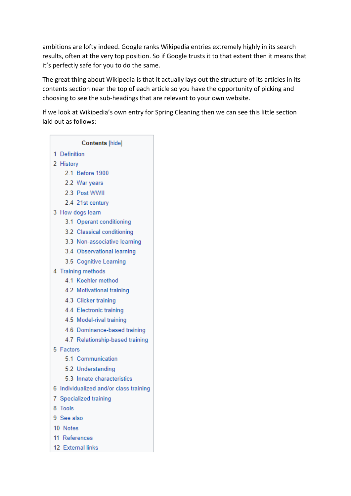ambitions are lofty indeed. Google ranks Wikipedia entries extremely highly in its search results, often at the very top position. So if Google trusts it to that extent then it means that it's perfectly safe for you to do the same.

The great thing about Wikipedia is that it actually lays out the structure of its articles in its contents section near the top of each article so you have the opportunity of picking and choosing to see the sub-headings that are relevant to your own website.

If we look at Wikipedia's own entry for Spring Cleaning then we can see this little section laid out as follows:

| <b>Contents</b> [hide] |                  |                                        |  |
|------------------------|------------------|----------------------------------------|--|
|                        | 1 Definition     |                                        |  |
|                        | 2 History        |                                        |  |
|                        |                  | 2.1 Before 1900                        |  |
|                        |                  | 2.2 War years                          |  |
|                        |                  | 2.3 Post WWII                          |  |
|                        |                  | 2.4 21st century                       |  |
|                        | 3 How dogs learn |                                        |  |
|                        |                  | 3.1 Operant conditioning               |  |
|                        |                  | 3.2 Classical conditioning             |  |
|                        |                  | 3.3 Non-associative learning           |  |
|                        |                  | 3.4 Observational learning             |  |
|                        |                  | 3.5 Cognitive Learning                 |  |
| 4 Training methods     |                  |                                        |  |
|                        |                  | 4.1 Koehler method                     |  |
|                        |                  | 4.2 Motivational training              |  |
|                        |                  | 4.3 Clicker training                   |  |
|                        |                  | 4.4 Electronic training                |  |
|                        |                  | 4.5 Model-rival training               |  |
|                        |                  | 4.6 Dominance-based training           |  |
|                        |                  | 4.7 Relationship-based training        |  |
| 5 Factors              |                  |                                        |  |
|                        |                  | 5.1 Communication                      |  |
|                        |                  | 5.2 Understanding                      |  |
|                        |                  | 5.3 Innate characteristics             |  |
|                        |                  | 6 Individualized and/or class training |  |
| 7 Specialized training |                  |                                        |  |
| 8 Tools                |                  |                                        |  |
| 9 See also             |                  |                                        |  |
| 10 Notes               |                  |                                        |  |
| 11 References          |                  |                                        |  |
|                        |                  | 12 External links                      |  |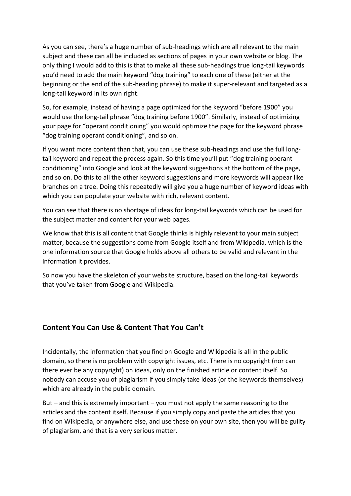As you can see, there's a huge number of sub-headings which are all relevant to the main subject and these can all be included as sections of pages in your own website or blog. The only thing I would add to this is that to make all these sub-headings true long-tail keywords you'd need to add the main keyword "dog training" to each one of these (either at the beginning or the end of the sub-heading phrase) to make it super-relevant and targeted as a long-tail keyword in its own right.

So, for example, instead of having a page optimized for the keyword "before 1900" you would use the long-tail phrase "dog training before 1900". Similarly, instead of optimizing your page for "operant conditioning" you would optimize the page for the keyword phrase "dog training operant conditioning", and so on.

If you want more content than that, you can use these sub-headings and use the full longtail keyword and repeat the process again. So this time you'll put "dog training operant conditioning" into Google and look at the keyword suggestions at the bottom of the page, and so on. Do this to all the other keyword suggestions and more keywords will appear like branches on a tree. Doing this repeatedly will give you a huge number of keyword ideas with which you can populate your website with rich, relevant content.

You can see that there is no shortage of ideas for long-tail keywords which can be used for the subject matter and content for your web pages.

We know that this is all content that Google thinks is highly relevant to your main subject matter, because the suggestions come from Google itself and from Wikipedia, which is the one information source that Google holds above all others to be valid and relevant in the information it provides.

So now you have the skeleton of your website structure, based on the long-tail keywords that you've taken from Google and Wikipedia.

#### **Content You Can Use & Content That You Can't**

Incidentally, the information that you find on Google and Wikipedia is all in the public domain, so there is no problem with copyright issues, etc. There is no copyright (nor can there ever be any copyright) on ideas, only on the finished article or content itself. So nobody can accuse you of plagiarism if you simply take ideas (or the keywords themselves) which are already in the public domain.

But – and this is extremely important – you must not apply the same reasoning to the articles and the content itself. Because if you simply copy and paste the articles that you find on Wikipedia, or anywhere else, and use these on your own site, then you will be guilty of plagiarism, and that is a very serious matter.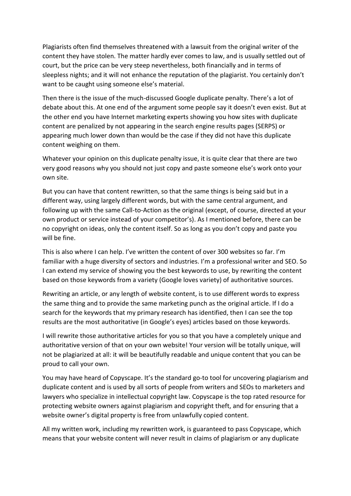Plagiarists often find themselves threatened with a lawsuit from the original writer of the content they have stolen. The matter hardly ever comes to law, and is usually settled out of court, but the price can be very steep nevertheless, both financially and in terms of sleepless nights; and it will not enhance the reputation of the plagiarist. You certainly don't want to be caught using someone else's material.

Then there is the issue of the much-discussed Google duplicate penalty. There's a lot of debate about this. At one end of the argument some people say it doesn't even exist. But at the other end you have Internet marketing experts showing you how sites with duplicate content are penalized by not appearing in the search engine results pages (SERPS) or appearing much lower down than would be the case if they did not have this duplicate content weighing on them.

Whatever your opinion on this duplicate penalty issue, it is quite clear that there are two very good reasons why you should not just copy and paste someone else's work onto your own site.

But you can have that content rewritten, so that the same things is being said but in a different way, using largely different words, but with the same central argument, and following up with the same Call-to-Action as the original (except, of course, directed at your own product or service instead of your competitor's). As I mentioned before, there can be no copyright on ideas, only the content itself. So as long as you don't copy and paste you will be fine.

This is also where I can help. I've written the content of over 300 websites so far. I'm familiar with a huge diversity of sectors and industries. I'm a professional writer and SEO. So I can extend my service of showing you the best keywords to use, by rewriting the content based on those keywords from a variety (Google loves variety) of authoritative sources.

Rewriting an article, or any length of website content, is to use different words to express the same thing and to provide the same marketing punch as the original article. If I do a search for the keywords that my primary research has identified, then I can see the top results are the most authoritative (in Google's eyes) articles based on those keywords.

I will rewrite those authoritative articles for you so that you have a completely unique and authoritative version of that on your own website! Your version will be totally unique, will not be plagiarized at all: it will be beautifully readable and unique content that you can be proud to call your own.

You may have heard of Copyscape. It's the standard go-to tool for uncovering plagiarism and duplicate content and is used by all sorts of people from writers and SEOs to marketers and lawyers who specialize in intellectual copyright law. Copyscape is the top rated resource for protecting website owners against plagiarism and copyright theft, and for ensuring that a website owner's digital property is free from unlawfully copied content.

All my written work, including my rewritten work, is guaranteed to pass Copyscape, which means that your website content will never result in claims of plagiarism or any duplicate